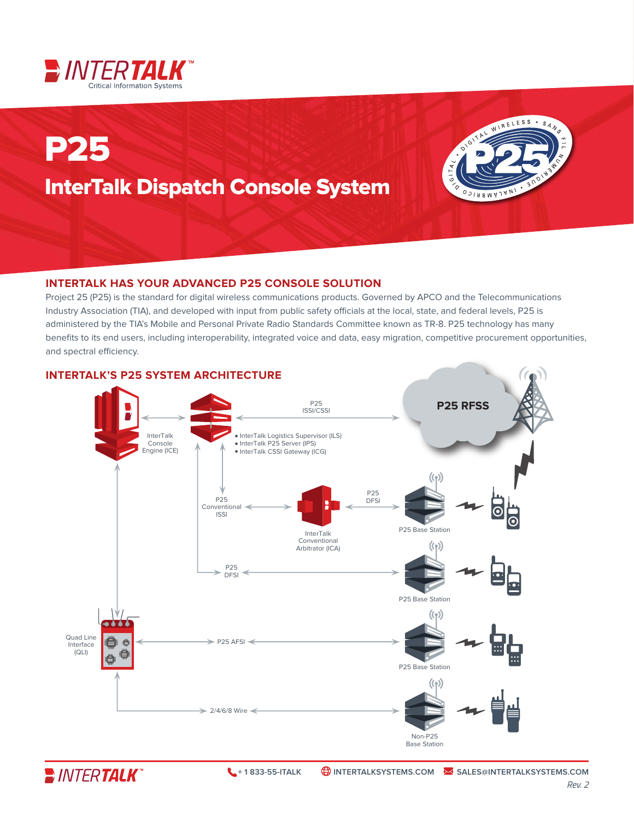

# P25 InterTalk Dispatch Console System



### **INTERTALK HAS YOUR ADVANCED P25 CONSOLE SOLUTION**

Project 25 (P25) is the standard for digital wireless communications products. Governed by APCO and the Telecommunications Industry Association (TIA), and developed with input from public safety officials at the local, state, and federal levels, P25 is administered by the TIA's Mobile and Personal Private Radio Standards Committee known as TR-8. P25 technology has many benefits to its end users, including interoperability, integrated voice and data, easy migration, competitive procurement opportunities, and spectral efficiency.

#### **INTERTALK'S P25 SYSTEM ARCHITECTURE**  $P25$ **P25 RFSS** ISSI/CSSI InterTalk · InterTalk Logistics Supervisor (ILS) Console · InterTalk P25 Server (IPS) Engine (ICE) · InterTalk CSSI Gateway (ICG) P25 P25 DFSI Conventional ISSI P25 Base Station InterTalk Conventional  $((q))$ Arbitrator (ICA) P25 DFSI P25 Base Station  $((q))$ Quad Line  $P25$  AFSI e Interface (QLI) 0 Ö P25 Base Station  $((q))$  $> 2/4/6/8$  Wire  $\leq$ Non-P25

**E** INTERTALK

Base Station